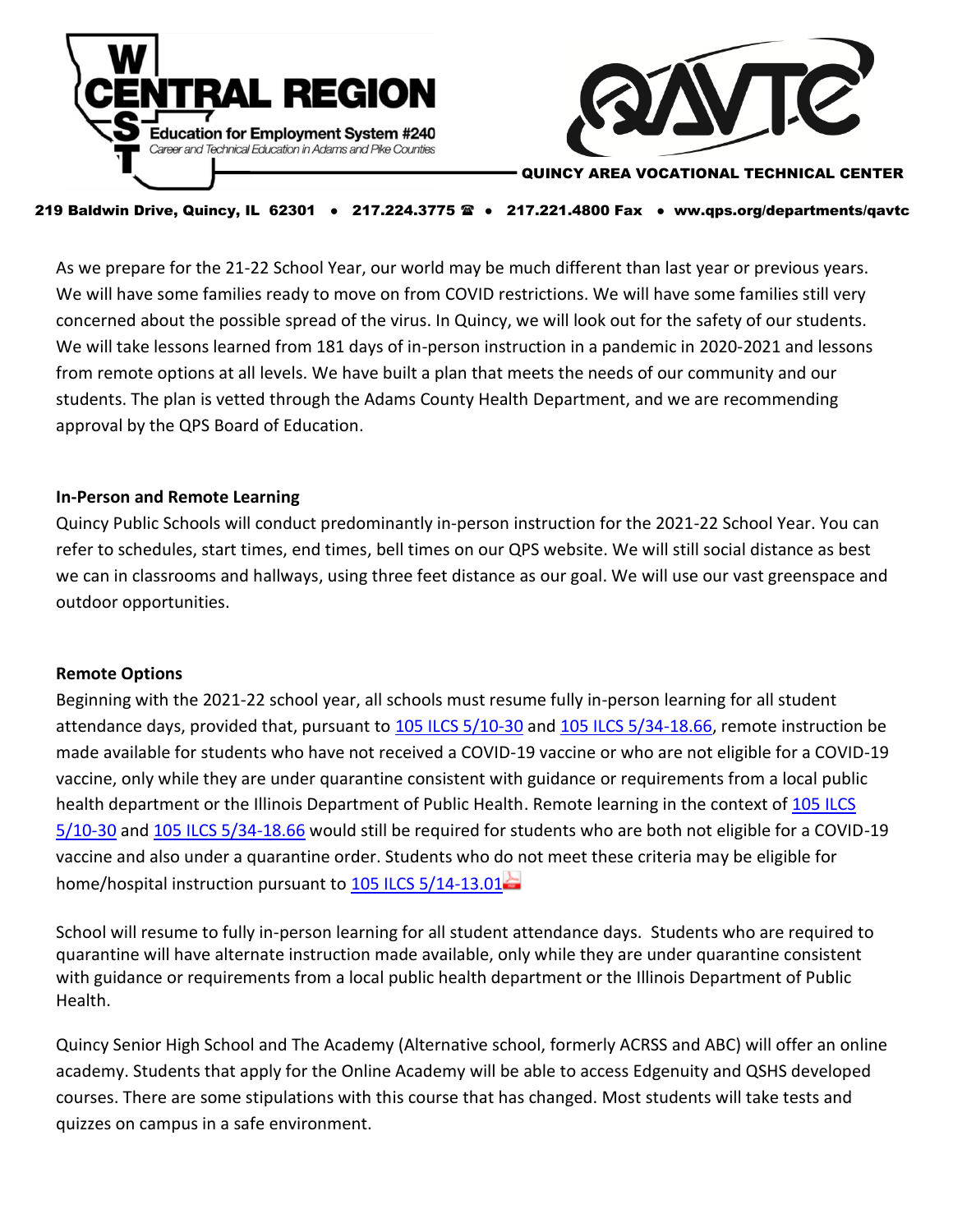



#### QUINCY AREA VOCATIONAL TECHNICAL CENTER

#### 219 Baldwin Drive, Quincy, IL 62301 • 217.224.3775 <sup>®</sup> • 217.221.4800 Fax • ww.qps.org/departments/qavtc

As we prepare for the 21-22 School Year, our world may be much different than last year or previous years. We will have some families ready to move on from COVID restrictions. We will have some families still very concerned about the possible spread of the virus. In Quincy, we will look out for the safety of our students. We will take lessons learned from 181 days of in-person instruction in a pandemic in 2020-2021 and lessons from remote options at all levels. We have built a plan that meets the needs of our community and our students. The plan is vetted through the Adams County Health Department, and we are recommending approval by the QPS Board of Education.

#### **In-Person and Remote Learning**

Quincy Public Schools will conduct predominantly in-person instruction for the 2021-22 School Year. You can refer to schedules, start times, end times, bell times on our QPS website. We will still social distance as best we can in classrooms and hallways, using three feet distance as our goal. We will use our vast greenspace and outdoor opportunities.

#### **Remote Options**

Beginning with the 2021-22 school year, all schools must resume fully in-person learning for all student attendance days, provided that, pursuant to [105 ILCS 5/10-30](http://link.isbe.net/c/6/?T=OTAyMDg4NDQ%3AMDItYjIxMTkwLTgxMGU3M2Y5ZGUyNDQ5YTM4ZjkzMzA1YWQyZDJhYWNk%3AYmVzd2ljZXJAcXBzLm9yZw%3AY29udGFjdC04MTgyZTgyNzZlZjRlYTExYTgxNjAwMGQzYTU5MTNiZC03MTE3MDBkNzk4NDE0MmE2YjU0YTFiYzA5MTNiZDQ2NQ%3AZmFsc2U%3ANA%3A%3AaHR0cHM6Ly93d3cuaWxnYS5nb3YvbGVnaXNsYXRpb24vaWxjcy9mdWxsdGV4dC5hc3A_RG9jTmFtZT0wMTA1MDAwNTBLMTAtMzAmX2NsZGVlPVltVnpkMmxqWlhKQWNYQnpMbTl5WnclM2QlM2QmcmVjaXBpZW50aWQ9Y29udGFjdC04MTgyZTgyNzZlZjRlYTExYTgxNjAwMGQzYTU5MTNiZC03MTE3MDBkNzk4NDE0MmE2YjU0YTFiYzA5MTNiZDQ2NSZlc2lkPTFkYWI0MzUxLWRlZTAtZWIxMS1iYWNiLTAwMjI0ODA4YjBkNiM6fjp0ZXh0PTEwLTMw&K=xbm4ampgqXtuvPC4ZqetaQ) and [105 ILCS 5/34-18.66,](http://link.isbe.net/c/6/?T=OTAyMDg4NDQ%3AMDItYjIxMTkwLTgxMGU3M2Y5ZGUyNDQ5YTM4ZjkzMzA1YWQyZDJhYWNk%3AYmVzd2ljZXJAcXBzLm9yZw%3AY29udGFjdC04MTgyZTgyNzZlZjRlYTExYTgxNjAwMGQzYTU5MTNiZC03MTE3MDBkNzk4NDE0MmE2YjU0YTFiYzA5MTNiZDQ2NQ%3AZmFsc2U%3ANQ%3A%3AaHR0cHM6Ly9pbGdhLmdvdi9sZWdpc2xhdGlvbi9pbGNzL2Z1bGx0ZXh0LmFzcD9Eb2NOYW1lPTAxMDUwMDA1MEszNC0xOC42NiZfY2xkZWU9WW1WemQybGpaWEpBY1hCekxtOXladyUzZCUzZCZyZWNpcGllbnRpZD1jb250YWN0LTgxODJlODI3NmVmNGVhMTFhODE2MDAwZDNhNTkxM2JkLTcxMTcwMGQ3OTg0MTQyYTZiNTRhMWJjMDkxM2JkNDY1JmVzaWQ9MWRhYjQzNTEtZGVlMC1lYjExLWJhY2ItMDAyMjQ4MDhiMGQ2&K=aA0fg0QL9wT9_N29Qadveg) remote instruction be made available for students who have not received a COVID-19 vaccine or who are not eligible for a COVID-19 vaccine, only while they are under quarantine consistent with guidance or requirements from a local public health department or the Illinois Department of Public Health. Remote learning in the context of 105 ILCS [5/10-30](https://ilga.gov/legislation/ilcs/fulltext.asp?DocName=010500050K10-30#:~:text=10-30.%2cIllinois%20Emergency%20Management%20Agency%20Act.) and [105 ILCS 5/34-18.66](https://ilga.gov/legislation/ilcs/fulltext.asp?DocName=010500050K34-18.66#:~:text=34-18.66.%2cIllinois%20Emergency%20Management%20Agency%20Act.) would still be required for students who are both not eligible for a COVID-19 vaccine and also under a quarantine order. Students who do not meet these criteria may be eligible for home/hospital instruction pursuant to [105 ILCS 5/14-13.01](https://www.isbe.net/Documents/Home-Hospital_QA.pdf)

School will resume to fully in-person learning for all student attendance days. Students who are required to quarantine will have alternate instruction made available, only while they are under quarantine consistent with guidance or requirements from a local public health department or the Illinois Department of Public Health.

Quincy Senior High School and The Academy (Alternative school, formerly ACRSS and ABC) will offer an online academy. Students that apply for the Online Academy will be able to access Edgenuity and QSHS developed courses. There are some stipulations with this course that has changed. Most students will take tests and quizzes on campus in a safe environment.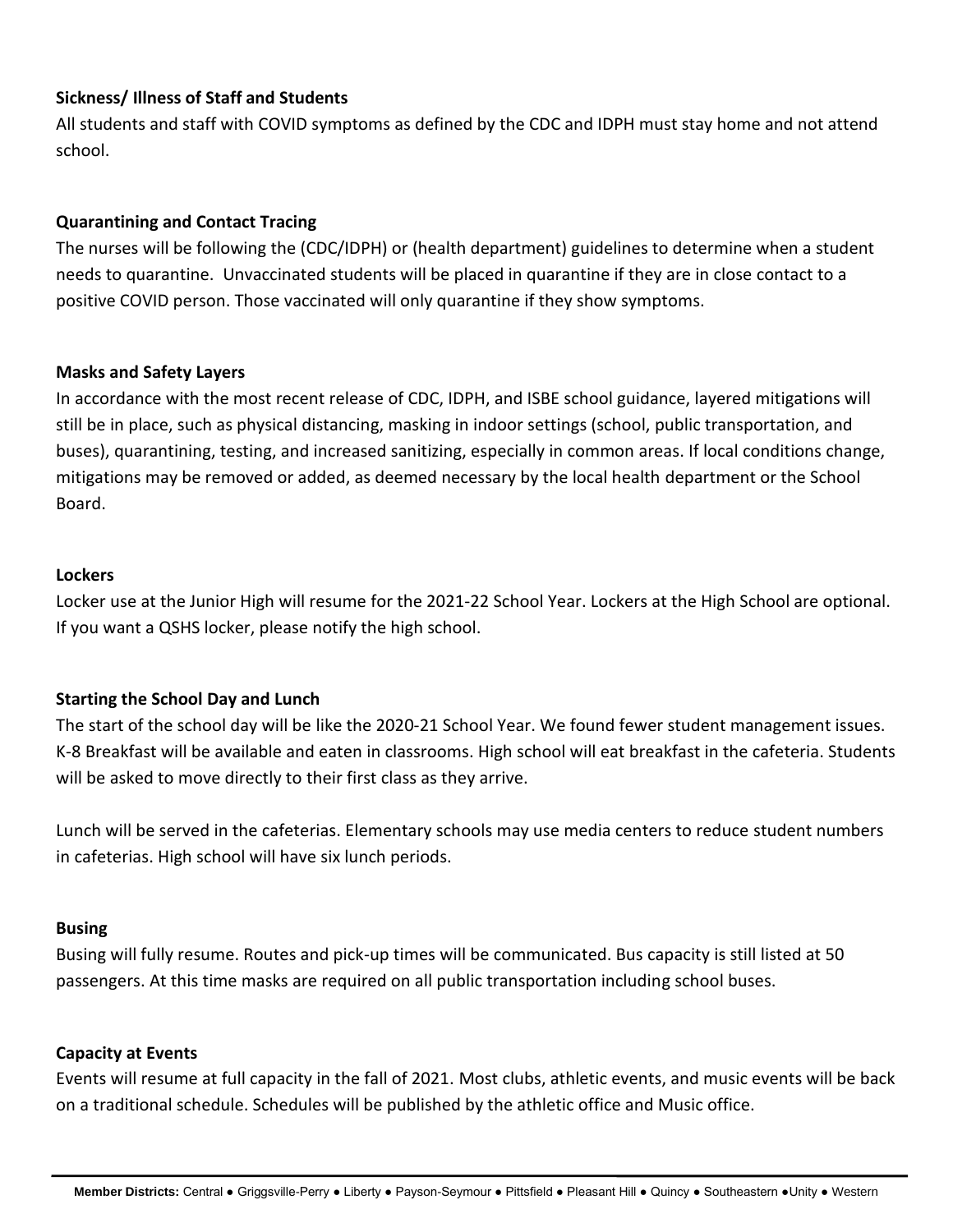# **Sickness/ Illness of Staff and Students**

All students and staff with COVID symptoms as defined by the CDC and IDPH must stay home and not attend school.

## **Quarantining and Contact Tracing**

The nurses will be following the (CDC/IDPH) or (health department) guidelines to determine when a student needs to quarantine. Unvaccinated students will be placed in quarantine if they are in close contact to a positive COVID person. Those vaccinated will only quarantine if they show symptoms.

### **Masks and Safety Layers**

In accordance with the most recent release of CDC, IDPH, and ISBE school guidance, layered mitigations will still be in place, such as physical distancing, masking in indoor settings (school, public transportation, and buses), quarantining, testing, and increased sanitizing, especially in common areas. If local conditions change, mitigations may be removed or added, as deemed necessary by the local health department or the School Board.

### **Lockers**

Locker use at the Junior High will resume for the 2021-22 School Year. Lockers at the High School are optional. If you want a QSHS locker, please notify the high school.

## **Starting the School Day and Lunch**

The start of the school day will be like the 2020-21 School Year. We found fewer student management issues. K-8 Breakfast will be available and eaten in classrooms. High school will eat breakfast in the cafeteria. Students will be asked to move directly to their first class as they arrive.

Lunch will be served in the cafeterias. Elementary schools may use media centers to reduce student numbers in cafeterias. High school will have six lunch periods.

### **Busing**

Busing will fully resume. Routes and pick-up times will be communicated. Bus capacity is still listed at 50 passengers. At this time masks are required on all public transportation including school buses.

### **Capacity at Events**

Events will resume at full capacity in the fall of 2021. Most clubs, athletic events, and music events will be back on a traditional schedule. Schedules will be published by the athletic office and Music office.